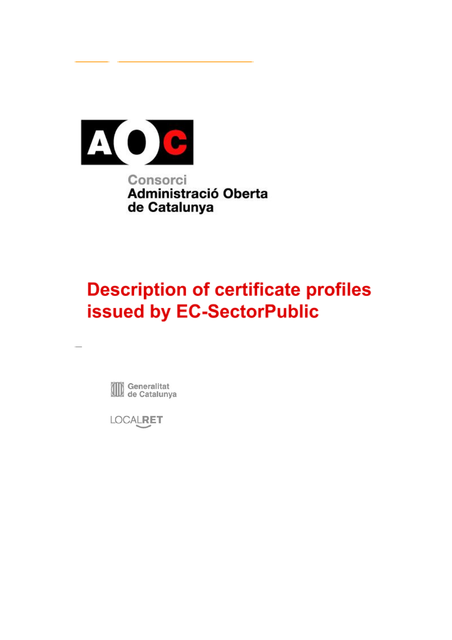

# **Description of certificate profiles issued by EC-SectorPublic**

Generalitat<br>de Catalunya

**LOCALRET**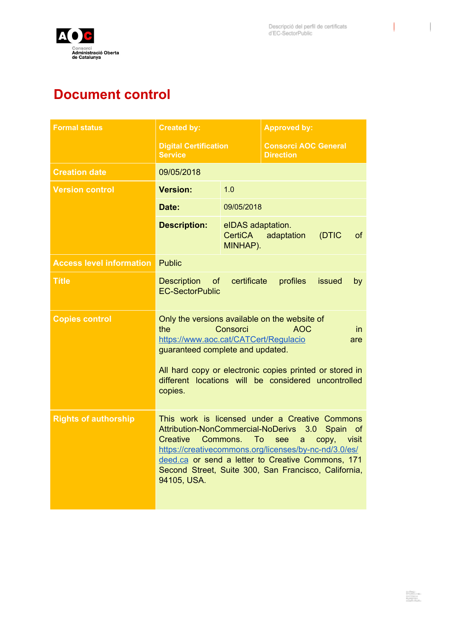

### **Document control**

| <b>Formal status</b>            | <b>Created by:</b>                                                                                                                                                                                                                                                                                    |                                          | <b>Approved by:</b>                             |                               |
|---------------------------------|-------------------------------------------------------------------------------------------------------------------------------------------------------------------------------------------------------------------------------------------------------------------------------------------------------|------------------------------------------|-------------------------------------------------|-------------------------------|
|                                 | <b>Digital Certification</b><br><b>Service</b>                                                                                                                                                                                                                                                        |                                          | <b>Consorci AOC General</b><br><b>Direction</b> |                               |
| <b>Creation date</b>            | 09/05/2018                                                                                                                                                                                                                                                                                            |                                          |                                                 |                               |
| <b>Version control</b>          | <b>Version:</b>                                                                                                                                                                                                                                                                                       | 1.0                                      |                                                 |                               |
|                                 | Date:                                                                                                                                                                                                                                                                                                 | 09/05/2018                               |                                                 |                               |
|                                 | <b>Description:</b>                                                                                                                                                                                                                                                                                   | eIDAS adaptation.<br>CertiCA<br>MINHAP). | adaptation                                      | (DTIC<br>of                   |
| <b>Access level information</b> | <b>Public</b>                                                                                                                                                                                                                                                                                         |                                          |                                                 |                               |
| <b>Títle</b>                    | <b>Description</b><br>of<br><b>EC-SectorPublic</b>                                                                                                                                                                                                                                                    | certificate                              | profiles                                        | <b>issued</b><br>by           |
| <b>Copies control</b>           | Only the versions available on the website of<br>the<br>Consorci<br><b>AOC</b><br>in<br>https://www.aoc.cat/CATCert/Regulacio<br>are<br>guaranteed complete and updated.<br>All hard copy or electronic copies printed or stored in<br>different locations will be considered uncontrolled<br>copies. |                                          |                                                 |                               |
| <b>Rights of authorship</b>     | This work is licensed under a Creative Commons<br>Attribution-NonCommercial-NoDerivs<br>Creative<br>https://creativecommons.org/licenses/by-nc-nd/3.0/es/<br>deed.ca or send a letter to Creative Commons, 171<br>Second Street, Suite 300, San Francisco, California,<br>94105, USA.                 | Commons.<br>To                           | 3.0<br>see<br>a                                 | Spain<br>of<br>copy,<br>visit |

 $\overline{\phantom{a}}$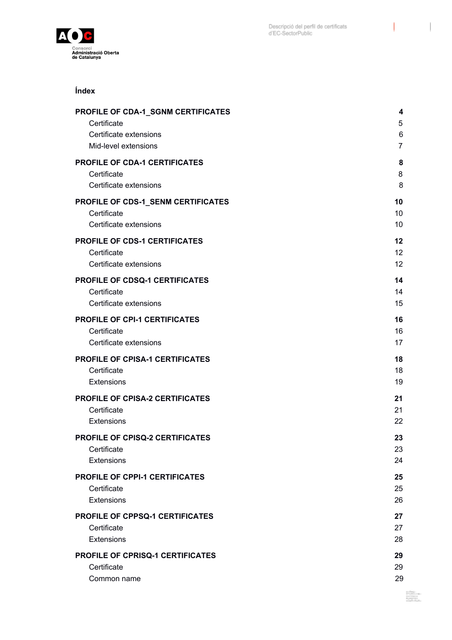| PROFILE OF CDA-1_SGNM CERTIFICATES     | 4              |
|----------------------------------------|----------------|
| Certificate                            | 5              |
| Certificate extensions                 | 6              |
| Mid-level extensions                   | $\overline{7}$ |
| <b>PROFILE OF CDA-1 CERTIFICATES</b>   | 8              |
| Certificate                            | 8              |
| Certificate extensions                 | 8              |
| PROFILE OF CDS-1_SENM CERTIFICATES     | 10             |
| Certificate                            | 10             |
| Certificate extensions                 | 10             |
| <b>PROFILE OF CDS-1 CERTIFICATES</b>   | 12             |
| Certificate                            | 12             |
| Certificate extensions                 | 12             |
| <b>PROFILE OF CDSQ-1 CERTIFICATES</b>  | 14             |
| Certificate                            | 14             |
| Certificate extensions                 | 15             |
| <b>PROFILE OF CPI-1 CERTIFICATES</b>   | 16             |
| Certificate                            | 16             |
| Certificate extensions                 | 17             |
| <b>PROFILE OF CPISA-1 CERTIFICATES</b> | 18             |
| Certificate                            | 18             |
| Extensions                             | 19             |
| <b>PROFILE OF CPISA-2 CERTIFICATES</b> | 21             |
| Certificate                            | 21             |
| Extensions                             | 22             |
| <b>PROFILE OF CPISQ-2 CERTIFICATES</b> | 23             |
| Certificate                            | 23             |
| <b>Extensions</b>                      | 24             |
| <b>PROFILE OF CPPI-1 CERTIFICATES</b>  | 25             |
| Certificate                            | 25             |
| <b>Extensions</b>                      | 26             |
| PROFILE OF CPPSQ-1 CERTIFICATES        | 27             |
| Certificate                            | 27             |
| Extensions                             | 28             |
| PROFILE OF CPRISQ-1 CERTIFICATES       | 29             |
| Certificate                            | 29             |
| Common name                            | 29             |
|                                        |                |

 $\overline{\phantom{0}}$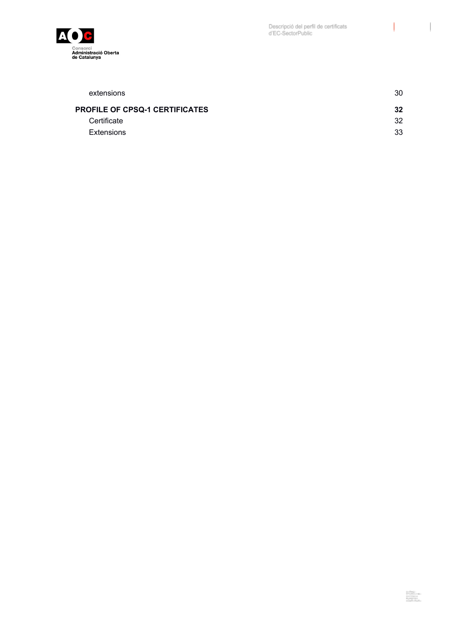$\bigl($ 

 $\blacksquare$ 



<span id="page-3-0"></span>

| extensions                            | 30 |
|---------------------------------------|----|
| <b>PROFILE OF CPSQ-1 CERTIFICATES</b> | 32 |
| Certificate                           | 32 |
| Extensions                            | 33 |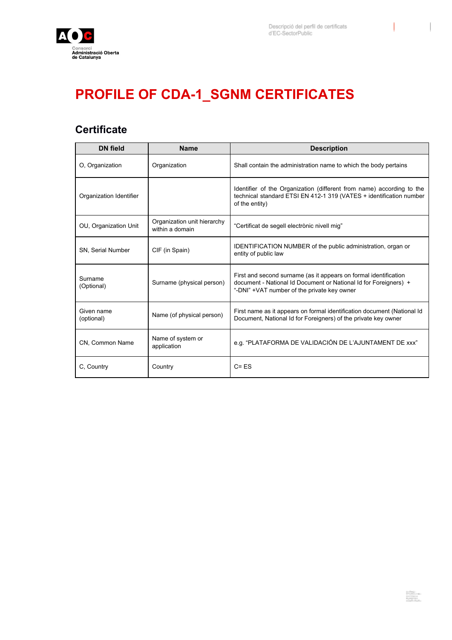

 $\overline{\phantom{a}}$ 

S.

# <span id="page-4-0"></span>**PROFILE OF CDA-1\_SGNM CERTIFICATES**

| <b>DN</b> field          | <b>Name</b>                                    | <b>Description</b>                                                                                                                                                                  |
|--------------------------|------------------------------------------------|-------------------------------------------------------------------------------------------------------------------------------------------------------------------------------------|
| O, Organization          | Organization                                   | Shall contain the administration name to which the body pertains                                                                                                                    |
| Organization Identifier  |                                                | Identifier of the Organization (different from name) according to the<br>technical standard ETSI EN 412-1 319 (VATES + identification number<br>of the entity)                      |
| OU, Organization Unit    | Organization unit hierarchy<br>within a domain | "Certificat de segell electrònic nivell mig"                                                                                                                                        |
| <b>SN. Serial Number</b> | CIF (in Spain)                                 | <b>IDENTIFICATION NUMBER of the public administration, organ or</b><br>entity of public law                                                                                         |
| Surname<br>(Optional)    | Surname (physical person)                      | First and second surname (as it appears on formal identification<br>document - National Id Document or National Id for Foreigners) +<br>"-DNI" +VAT number of the private key owner |
| Given name<br>(optional) | Name (of physical person)                      | First name as it appears on formal identification document (National Id<br>Document, National Id for Foreigners) of the private key owner                                           |
| CN, Common Name          | Name of system or<br>application               | e.g. "PLATAFORMA DE VALIDACIÓN DE L'AJUNTAMENT DE xxx"                                                                                                                              |
| C. Country               | Country                                        | $C = ES$                                                                                                                                                                            |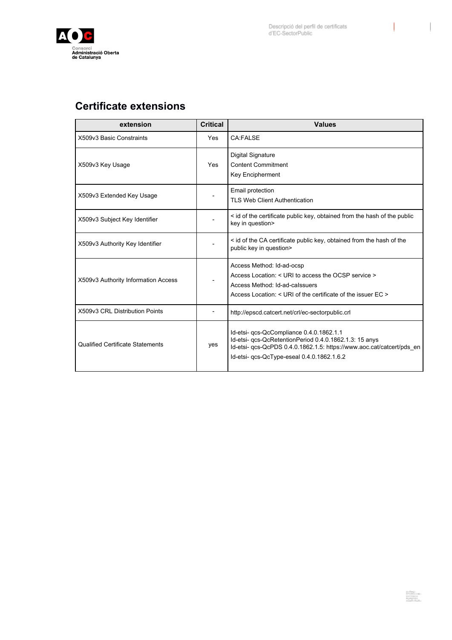

 $\mathbf{I}$  and

 $\blacksquare$ 

### <span id="page-5-0"></span>**Certificate extensions**

| extension                               | <b>Critical</b> | <b>Values</b>                                                                                                                                                                                                             |
|-----------------------------------------|-----------------|---------------------------------------------------------------------------------------------------------------------------------------------------------------------------------------------------------------------------|
| X509v3 Basic Constraints                | <b>Yes</b>      | <b>CA:FALSE</b>                                                                                                                                                                                                           |
| X509v3 Key Usage                        | Yes             | <b>Digital Signature</b><br><b>Content Commitment</b><br><b>Key Encipherment</b>                                                                                                                                          |
| X509v3 Extended Key Usage               |                 | Email protection<br><b>TLS Web Client Authentication</b>                                                                                                                                                                  |
| X509v3 Subject Key Identifier           |                 | < id of the certificate public key, obtained from the hash of the public<br>key in question>                                                                                                                              |
| X509v3 Authority Key Identifier         |                 | < id of the CA certificate public key, obtained from the hash of the<br>public key in question>                                                                                                                           |
| X509v3 Authority Information Access     |                 | Access Method: Id-ad-ocsp<br>Access Location: < URI to access the OCSP service ><br>Access Method: Id-ad-calssuers<br>Access Location: < URI of the certificate of the issuer EC >                                        |
| X509v3 CRL Distribution Points          |                 | http://epscd.catcert.net/crl/ec-sectorpublic.crl                                                                                                                                                                          |
| <b>Qualified Certificate Statements</b> | yes             | Id-etsi- qcs-QcCompliance 0.4.0.1862.1.1<br>Id-etsi- qcs-QcRetentionPeriod 0.4.0.1862.1.3: 15 anys<br>Id-etsi- qcs-QcPDS 0.4.0.1862.1.5: https://www.aoc.cat/catcert/pds en<br>Id-etsi- qcs-QcType-eseal 0.4.0.1862.1.6.2 |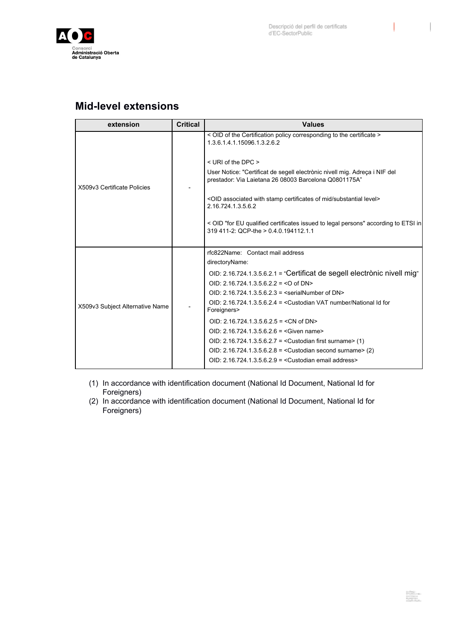

#### I

j

itika.<br>Seba

#### <span id="page-6-0"></span>**Mid-level extensions**

| extension                       | <b>Critical</b> | <b>Values</b>                                                                                                                       |
|---------------------------------|-----------------|-------------------------------------------------------------------------------------------------------------------------------------|
|                                 |                 | < OID of the Certification policy corresponding to the certificate ><br>1.3.6.1.4.1.15096.1.3.2.6.2                                 |
|                                 |                 | < URI of the DPC >                                                                                                                  |
| X509v3 Certificate Policies     |                 | User Notice: "Certificat de segell electrònic nivell mig. Adreça i NIF del<br>prestador: Via Laietana 26 08003 Barcelona Q0801175A" |
|                                 |                 | <oid associated="" certificates="" level="" mid="" of="" stamp="" substantial="" with=""><br/>2.16.724.1.3.5.6.2</oid>              |
|                                 |                 | < OID "for EU qualified certificates issued to legal persons" according to ETSI in<br>319 411-2: QCP-the > 0.4.0.194112.1.1         |
|                                 |                 | rfc822Name: Contact mail address                                                                                                    |
|                                 |                 | directoryName:                                                                                                                      |
|                                 |                 | OID: 2.16.724.1.3.5.6.2.1 = "Certificat de segell electrònic nivell mig"                                                            |
|                                 |                 | OID: 2.16.724.1.3.5.6.2.2 = < O of DN>                                                                                              |
|                                 |                 | OID: 2.16.724.1.3.5.6.2.3 = <serialnumber dn="" of=""></serialnumber>                                                               |
| X509v3 Subject Alternative Name |                 | $OID: 2.16.724.1.3.5.6.2.4 = Clustodian VAT number/National Id for$<br>Foreigners>                                                  |
|                                 |                 | OID: 2.16.724.1.3.5.6.2.5 = <cn dn="" of=""></cn>                                                                                   |
|                                 |                 | OID: 2.16.724.1.3.5.6.2.6 = <given name=""></given>                                                                                 |
|                                 |                 | OID: 2.16.724.1.3.5.6.2.7 = < Custodian first surname> $(1)$                                                                        |
|                                 |                 | OID: 2.16.724.1.3.5.6.2.8 = < Custodian second surname> $(2)$                                                                       |
|                                 |                 | OID: 2.16.724.1.3.5.6.2.9 = < Custodian email address>                                                                              |

- (1) In accordance with identification document (National Id Document, National Id for Foreigners)
- (2) In accordance with identification document (National Id Document, National Id for Foreigners)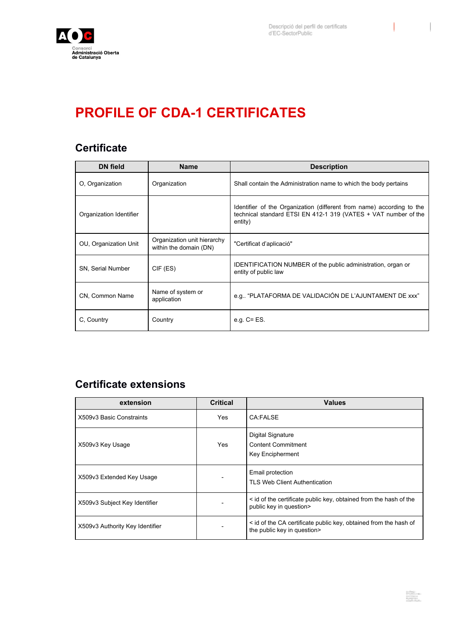

J.

# <span id="page-7-0"></span>**PROFILE OF CDA-1 CERTIFICATES**

### <span id="page-7-1"></span>**Certificate**

| <b>DN</b> field         | <b>Name</b>                                           | <b>Description</b>                                                                                                                                  |
|-------------------------|-------------------------------------------------------|-----------------------------------------------------------------------------------------------------------------------------------------------------|
| O, Organization         | Organization                                          | Shall contain the Administration name to which the body pertains                                                                                    |
| Organization Identifier |                                                       | Identifier of the Organization (different from name) according to the<br>technical standard ETSI EN 412-1 319 (VATES + VAT number of the<br>entity) |
| OU, Organization Unit   | Organization unit hierarchy<br>within the domain (DN) | "Certificat d'aplicació"                                                                                                                            |
| SN, Serial Number       | CIF (ES)                                              | IDENTIFICATION NUMBER of the public administration, organ or<br>entity of public law                                                                |
| CN, Common Name         | Name of system or<br>application                      | e.g "PLATAFORMA DE VALIDACIÓN DE L'AJUNTAMENT DE xxx"                                                                                               |
| C, Country              | Country                                               | e.g. $C = ES$ .                                                                                                                                     |

### <span id="page-7-2"></span>**Certificate extensions**

| extension                       | <b>Critical</b> | <b>Values</b>                                                                                   |
|---------------------------------|-----------------|-------------------------------------------------------------------------------------------------|
| X509v3 Basic Constraints        | Yes             | CA:FALSE                                                                                        |
| X509v3 Key Usage                | Yes             | Digital Signature<br><b>Content Commitment</b><br><b>Key Encipherment</b>                       |
| X509v3 Extended Key Usage       |                 | Email protection<br><b>TLS Web Client Authentication</b>                                        |
| X509v3 Subject Key Identifier   |                 | < id of the certificate public key, obtained from the hash of the<br>public key in question>    |
| X509v3 Authority Key Identifier |                 | < id of the CA certificate public key, obtained from the hash of<br>the public key in question> |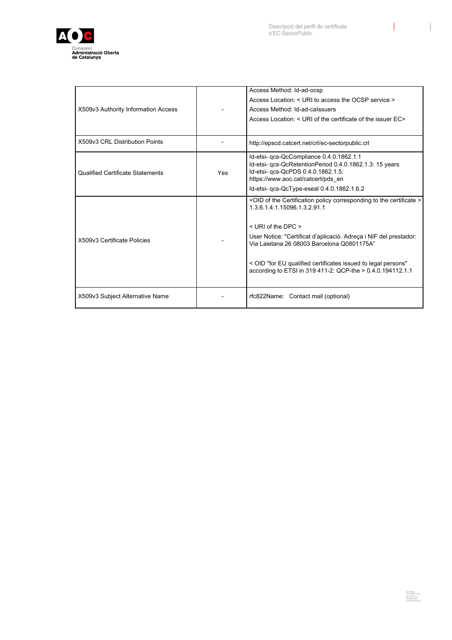

 $\bigl($ 

I

| X509v3 Authority Information Access     |     | Access Method: Id-ad-ocsp<br>Access Location: < URI to access the OCSP service ><br>Access Method: Id-ad-calssuers<br>Access Location: < URI of the certificate of the issuer EC>                                                                                                                                                                                                                                   |
|-----------------------------------------|-----|---------------------------------------------------------------------------------------------------------------------------------------------------------------------------------------------------------------------------------------------------------------------------------------------------------------------------------------------------------------------------------------------------------------------|
| X509v3 CRL Distribution Points          |     | http://epscd.catcert.net/crl/ec-sectorpublic.crl                                                                                                                                                                                                                                                                                                                                                                    |
| <b>Qualified Certificate Statements</b> | Yes | Id-etsi- qcs-QcCompliance 0.4.0.1862.1.1<br>Id-etsi- qcs-QcRetentionPeriod 0.4.0.1862.1.3: 15 years<br>Id-etsi- qcs-QcPDS 0.4.0.1862.1.5:<br>https://www.aoc.cat/catcert/pds en<br>Id-etsi- qcs-QcType-eseal 0.4.0.1862.1.6.2                                                                                                                                                                                       |
| X509v3 Certificate Policies             |     | <oid certificate="" certification="" corresponding="" of="" policy="" the="" to=""><br/>1.3.6.1.4.1.15096.1.3.2.91.1<br/>&lt; URI of the DPC &gt;<br/>User Notice: "Certificat d'aplicació. Adreça i NIF del prestador:<br/>Via Laietana 26 08003 Barcelona Q0801175A"<br/>&lt; OID "for EU qualified certificates issued to legal persons"<br/>according to ETSI in 319 411-2: QCP-the &gt; 0.4.0.194112.1.1</oid> |
| X509v3 Subject Alternative Name         |     | rfc822Name: Contact mail (optional)                                                                                                                                                                                                                                                                                                                                                                                 |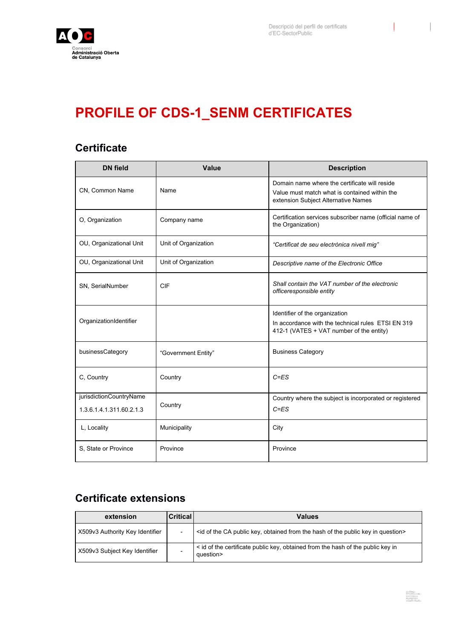

 $\overline{\phantom{a}}$ 

#### <span id="page-9-1"></span><span id="page-9-0"></span>**Certificate**

| <b>DN</b> field                                     | Value                | <b>Description</b>                                                                                                                    |
|-----------------------------------------------------|----------------------|---------------------------------------------------------------------------------------------------------------------------------------|
| CN, Common Name                                     | Name                 | Domain name where the certificate will reside<br>Value must match what is contained within the<br>extension Subject Alternative Names |
| O, Organization                                     | Company name         | Certification services subscriber name (official name of<br>the Organization)                                                         |
| OU, Organizational Unit                             | Unit of Organization | "Certificat de seu electrònica nivell mig"                                                                                            |
| OU, Organizational Unit                             | Unit of Organization | Descriptive name of the Electronic Office                                                                                             |
| SN, SerialNumber                                    | CIF                  | Shall contain the VAT number of the electronic<br>officeresponsible entity                                                            |
| OrganizationIdentifier                              |                      | Identifier of the organization<br>In accordance with the technical rules ETSI EN 319<br>412-1 (VATES + VAT number of the entity)      |
| businessCategory                                    | "Government Entity"  | <b>Business Category</b>                                                                                                              |
| C, Country                                          | Country              | $C = ES$                                                                                                                              |
| jurisdictionCountryName<br>1.3.6.1.4.1.311.60.2.1.3 | Country              | Country where the subject is incorporated or registered<br>$C = ES$                                                                   |
| L, Locality                                         | Municipality         | City                                                                                                                                  |
| S. State or Province                                | Province             | Province                                                                                                                              |

### <span id="page-9-2"></span>**Certificate extensions**

| extension                       | <b>Critical</b> | <b>Values</b>                                                                                       |
|---------------------------------|-----------------|-----------------------------------------------------------------------------------------------------|
| X509v3 Authority Key Identifier |                 | <id ca="" from="" hash="" in="" key="" key,="" obtained="" of="" public="" question="" the=""></id> |
| X509v3 Subject Key Identifier   |                 | < id of the certificate public key, obtained from the hash of the public key in<br>question>        |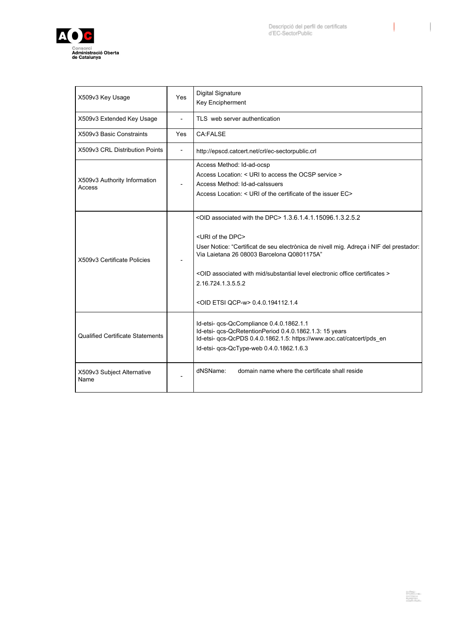

X509v3 Subject Alternative

Name

domain name where the certificate shall reside

| X509v3 Key Usage                        | Yes                      | <b>Digital Signature</b>                                                                                                                                                                                                                                                                                                                                                                                                                        |
|-----------------------------------------|--------------------------|-------------------------------------------------------------------------------------------------------------------------------------------------------------------------------------------------------------------------------------------------------------------------------------------------------------------------------------------------------------------------------------------------------------------------------------------------|
|                                         |                          | Key Encipherment                                                                                                                                                                                                                                                                                                                                                                                                                                |
| X509v3 Extended Key Usage               | $\overline{\phantom{a}}$ | TLS web server authentication                                                                                                                                                                                                                                                                                                                                                                                                                   |
| X509v3 Basic Constraints                | Yes                      | <b>CA:FALSE</b>                                                                                                                                                                                                                                                                                                                                                                                                                                 |
| X509y3 CRL Distribution Points          |                          | http://epscd.catcert.net/crl/ec-sectorpublic.crl                                                                                                                                                                                                                                                                                                                                                                                                |
| X509v3 Authority Information<br>Access  |                          | Access Method: Id-ad-ocsp<br>Access Location: < URI to access the OCSP service ><br>Access Method: Id-ad-calssuers<br>Access Location: < URI of the certificate of the issuer EC>                                                                                                                                                                                                                                                               |
| X509v3 Certificate Policies             |                          | <oid associated="" dpc="" the="" with=""> 1.3.6.1.4.1.15096.1.3.2.5.2<br/><uri dpc="" of="" the=""><br/>User Notice: "Certificat de seu electrònica de nivell mig. Adreça i NIF del prestador:<br/>Via Laietana 26 08003 Barcelona Q0801175A"<br/><oid associated="" certificates="" electronic="" level="" mid="" office="" substantial="" with=""><br/>2.16.724.1.3.5.5.2<br/><oid etsi="" qcp-w=""> 0.4.0.194112.1.4</oid></oid></uri></oid> |
| <b>Qualified Certificate Statements</b> |                          | Id-etsi- qcs-QcCompliance 0.4.0.1862.1.1<br>Id-etsi- gcs-QcRetentionPeriod 0.4.0.1862.1.3: 15 years<br>Id-etsi- qcs-QcPDS 0.4.0.1862.1.5: https://www.aoc.cat/catcert/pds_en<br>Id-etsi- qcs-QcType-web 0.4.0.1862.1.6.3                                                                                                                                                                                                                        |

dNSName:

 $\overline{a}$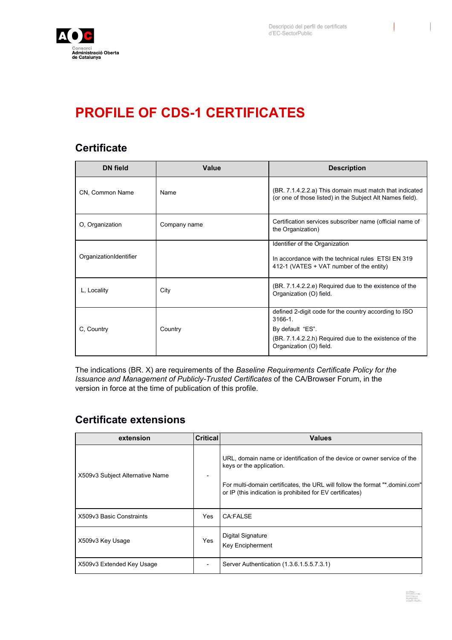

# <span id="page-11-0"></span>**PROFILE OF CDS-1 CERTIFICATES**

#### <span id="page-11-1"></span>**Certificate**

| <b>DN</b> field        | Value        | <b>Description</b>                                                                                                                                                             |
|------------------------|--------------|--------------------------------------------------------------------------------------------------------------------------------------------------------------------------------|
| CN, Common Name        | Name         | (BR. 7.1.4.2.2.a) This domain must match that indicated<br>(or one of those listed) in the Subject Alt Names field).                                                           |
| O, Organization        | Company name | Certification services subscriber name (official name of<br>the Organization)                                                                                                  |
| OrganizationIdentifier |              | Identifier of the Organization<br>In accordance with the technical rules ETSI EN 319<br>412-1 (VATES + VAT number of the entity)                                               |
| L, Locality            | City         | (BR. 7.1.4.2.2.e) Required due to the existence of the<br>Organization (O) field.                                                                                              |
| C, Country             | Country      | defined 2-digit code for the country according to ISO<br>$3166 - 1$ .<br>By default "ES".<br>(BR. 7.1.4.2.2.h) Required due to the existence of the<br>Organization (O) field. |

The indications (BR. X) are requirements of the *Baseline Requirements Certificate Policy for the Issuance and Management of Publicly-Trusted Certificates* of the CA/Browser Forum, in the version in force at the time of publication of this profile.

#### <span id="page-11-2"></span>**Certificate extensions**

| extension                       | <b>Critical</b>          | <b>Values</b>                                                                                                                                                                                                                                     |
|---------------------------------|--------------------------|---------------------------------------------------------------------------------------------------------------------------------------------------------------------------------------------------------------------------------------------------|
| X509v3 Subject Alternative Name | $\overline{\phantom{a}}$ | URL, domain name or identification of the device or owner service of the<br>keys or the application.<br>For multi-domain certificates, the URL will follow the format "*.domini.com"<br>or IP (this indication is prohibited for EV certificates) |
| X509v3 Basic Constraints        | Yes                      | CA:FALSE                                                                                                                                                                                                                                          |
| X509v3 Key Usage                | Yes                      | Digital Signature<br><b>Key Encipherment</b>                                                                                                                                                                                                      |
| X509v3 Extended Key Usage       |                          | Server Authentication (1.3.6.1.5.5.7.3.1)                                                                                                                                                                                                         |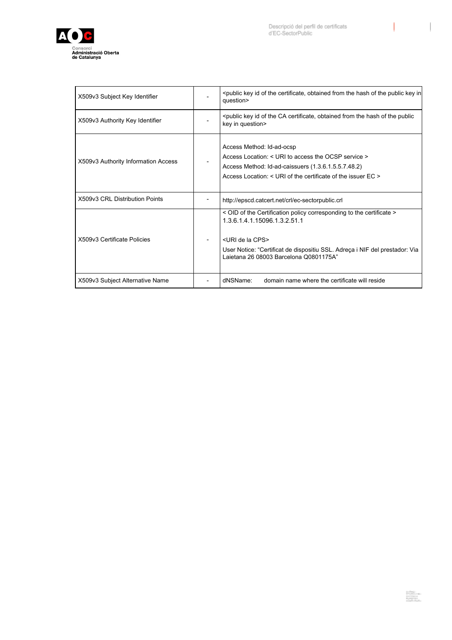



r

| X509v3 Subject Key Identifier       | <public certificate,="" from="" hash="" id="" in<br="" key="" obtained="" of="" public="" the="">question&gt;</public>                                                                                                                                            |
|-------------------------------------|-------------------------------------------------------------------------------------------------------------------------------------------------------------------------------------------------------------------------------------------------------------------|
| X509v3 Authority Key Identifier     | <public ca="" certificate,="" from="" hash="" id="" key="" obtained="" of="" public<br="" the="">key in question&gt;</public>                                                                                                                                     |
| X509v3 Authority Information Access | Access Method: Id-ad-ocsp<br>Access Location: < URI to access the OCSP service ><br>Access Method: Id-ad-caissuers (1.3.6.1.5.5.7.48.2)<br>Access Location: < URI of the certificate of the issuer EC >                                                           |
| X509v3 CRL Distribution Points      | http://epscd.catcert.net/crl/ec-sectorpublic.crl                                                                                                                                                                                                                  |
| X509v3 Certificate Policies         | < OID of the Certification policy corresponding to the certificate ><br>1.3.6.1.4.1.15096.1.3.2.51.1<br><uri cps="" de="" la=""><br/>User Notice: "Certificat de dispositiu SSL. Adreça i NIF del prestador: Via<br/>Laietana 26 08003 Barcelona Q0801175A"</uri> |
| X509v3 Subject Alternative Name     | dNSName:<br>domain name where the certificate will reside                                                                                                                                                                                                         |

٦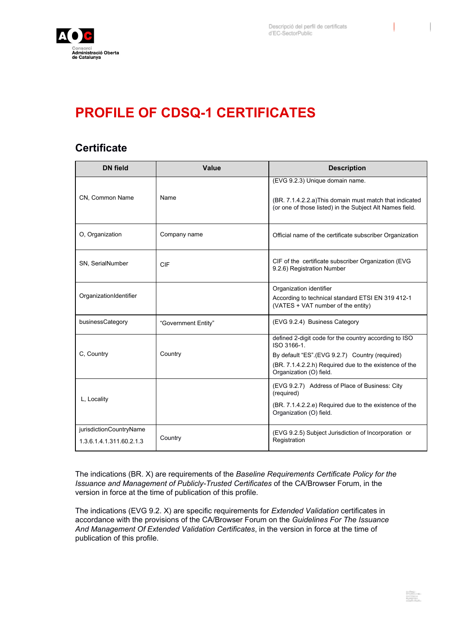

69 F

### <span id="page-13-0"></span>**PROFILE OF CDSQ-1 CERTIFICATES**

#### <span id="page-13-1"></span>**Certificate**

| <b>DN</b> field          | Value               | <b>Description</b>                                                                                                                  |  |
|--------------------------|---------------------|-------------------------------------------------------------------------------------------------------------------------------------|--|
|                          |                     | (EVG 9.2.3) Unique domain name.                                                                                                     |  |
| CN, Common Name          | Name                | (BR. 7.1.4.2.2.a) This domain must match that indicated<br>(or one of those listed) in the Subject Alt Names field.                 |  |
| O, Organization          | Company name        | Official name of the certificate subscriber Organization                                                                            |  |
| SN, SerialNumber         | CIF                 | CIF of the certificate subscriber Organization (EVG<br>9.2.6) Registration Number                                                   |  |
| OrganizationIdentifier   |                     | Organization identifier<br>According to technical standard ETSI EN 319 412-1<br>(VATES + VAT number of the entity)                  |  |
| businessCategory         | "Government Entity" | (EVG 9.2.4) Business Category                                                                                                       |  |
|                          |                     | defined 2-digit code for the country according to ISO<br>ISO 3166-1.                                                                |  |
| C, Country               | Country             | By default "ES" (EVG 9.2.7) Country (required)<br>(BR. 7.1.4.2.2.h) Required due to the existence of the<br>Organization (O) field. |  |
|                          |                     | (EVG 9.2.7) Address of Place of Business: City<br>(required)                                                                        |  |
| L, Locality              |                     | (BR. 7.1.4.2.2.e) Required due to the existence of the<br>Organization (O) field.                                                   |  |
| jurisdictionCountryName  | Country             | (EVG 9.2.5) Subject Jurisdiction of Incorporation or                                                                                |  |
| 1.3.6.1.4.1.311.60.2.1.3 |                     | Registration                                                                                                                        |  |

The indications (BR. X) are requirements of the *Baseline Requirements Certificate Policy for the Issuance and Management of Publicly-Trusted Certificates* of the CA/Browser Forum, in the version in force at the time of publication of this profile.

The indications (EVG 9.2. X) are specific requirements for *Extended Validation* certificates in accordance with the provisions of the CA/Browser Forum on the *Guidelines For The Issuance And Management Of Extended Validation Certificates*, in the version in force at the time of publication of this profile.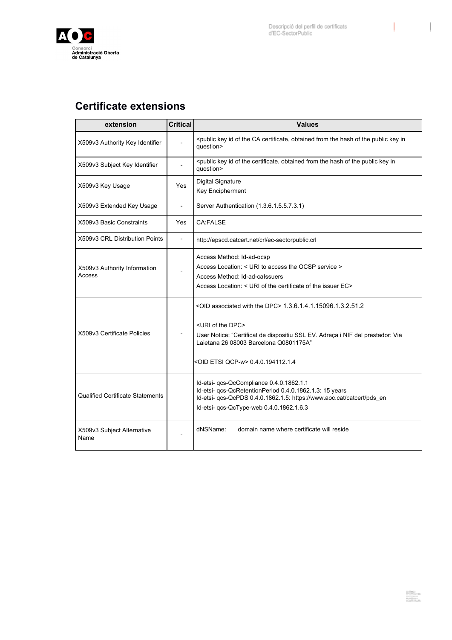

#### <span id="page-14-0"></span>**Certificate extensions**

| extension                               | <b>Critical</b> | <b>Values</b>                                                                                                                                                                                                                                                                                    |
|-----------------------------------------|-----------------|--------------------------------------------------------------------------------------------------------------------------------------------------------------------------------------------------------------------------------------------------------------------------------------------------|
| X509v3 Authority Key Identifier         |                 | <public ca="" certificate,="" from="" hash="" id="" in<br="" key="" obtained="" of="" public="" the="">question&gt;</public>                                                                                                                                                                     |
| X509v3 Subject Key Identifier           |                 | <public certificate,="" from="" hash="" id="" in<br="" key="" obtained="" of="" public="" the="">question&gt;</public>                                                                                                                                                                           |
| X509v3 Key Usage                        | Yes             | <b>Digital Signature</b><br><b>Key Encipherment</b>                                                                                                                                                                                                                                              |
| X509v3 Extended Key Usage               |                 | Server Authentication (1.3.6.1.5.5.7.3.1)                                                                                                                                                                                                                                                        |
| X509v3 Basic Constraints                | Yes             | CA:FALSE                                                                                                                                                                                                                                                                                         |
| X509v3 CRL Distribution Points          |                 | http://epscd.catcert.net/crl/ec-sectorpublic.crl                                                                                                                                                                                                                                                 |
| X509v3 Authority Information<br>Access  |                 | Access Method: Id-ad-ocsp<br>Access Location: < URI to access the OCSP service ><br>Access Method: Id-ad-calssuers<br>Access Location: < URI of the certificate of the issuer EC>                                                                                                                |
| X509v3 Certificate Policies             |                 | <oid associated="" dpc="" the="" with=""> 1.3.6.1.4.1.15096.1.3.2.51.2<br/><uri dpc="" of="" the=""><br/>User Notice: "Certificat de dispositiu SSL EV. Adreça i NIF del prestador: Via<br/>Laietana 26 08003 Barcelona Q0801175A"<br/><oid etsi="" qcp-w=""> 0.4.0.194112.1.4</oid></uri></oid> |
| <b>Qualified Certificate Statements</b> |                 | Id-etsi- qcs-QcCompliance 0.4.0.1862.1.1<br>Id-etsi- qcs-QcRetentionPeriod 0.4.0.1862.1.3: 15 years<br>Id-etsi- qcs-QcPDS 0.4.0.1862.1.5: https://www.aoc.cat/catcert/pds_en<br>Id-etsi- qcs-QcType-web 0.4.0.1862.1.6.3                                                                         |
| X509v3 Subject Alternative<br>Name      |                 | dNSName:<br>domain name where certificate will reside                                                                                                                                                                                                                                            |

 $\mathbb{R}^n$ 

 $\blacksquare$ 

 $\frac{1}{\sqrt{2}}\sum_{i=1}^{n}$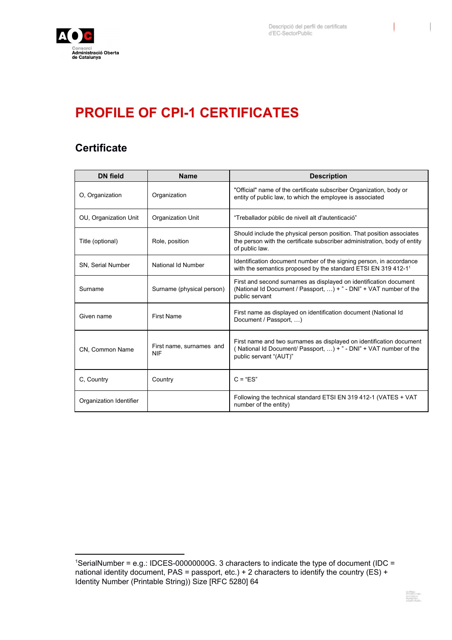

SH.

# <span id="page-15-1"></span><span id="page-15-0"></span>**PROFILE OF CPI-1 CERTIFICATES**

| <b>DN</b> field         | <b>Name</b>                            | <b>Description</b>                                                                                                                                                   |
|-------------------------|----------------------------------------|----------------------------------------------------------------------------------------------------------------------------------------------------------------------|
| O, Organization         | Organization                           | "Official" name of the certificate subscriber Organization, body or<br>entity of public law, to which the employee is associated                                     |
| OU, Organization Unit   | Organization Unit                      | "Treballador públic de nivell alt d'autenticació"                                                                                                                    |
| Title (optional)        | Role, position                         | Should include the physical person position. That position associates<br>the person with the certificate subscriber administration, body of entity<br>of public law. |
| SN, Serial Number       | National Id Number                     | Identification document number of the signing person, in accordance<br>with the semantics proposed by the standard ETSI EN 319 412-1 <sup>1</sup>                    |
| Surname                 | Surname (physical person)              | First and second surnames as displayed on identification document<br>(National Id Document / Passport, ) + " - DNI" + VAT number of the<br>public servant            |
| Given name              | <b>First Name</b>                      | First name as displayed on identification document (National Id<br>Document / Passport, )                                                                            |
| CN. Common Name         | First name, surnames and<br><b>NIF</b> | First name and two surnames as displayed on identification document<br>(National Id Document/ Passport, ) + " - DNI" + VAT number of the<br>public servant "(AUT)"   |
| C. Country              | Country                                | $C = "ES"$                                                                                                                                                           |
| Organization Identifier |                                        | Following the technical standard ETSI EN 319 412-1 (VATES + VAT<br>number of the entity)                                                                             |

<sup>1</sup>SerialNumber = e.g.: IDCES-00000000G. 3 characters to indicate the type of document (IDC = national identity document, PAS = passport, etc.) + 2 characters to identify the country (ES) + Identity Number (Printable String)) Size [RFC 5280] 64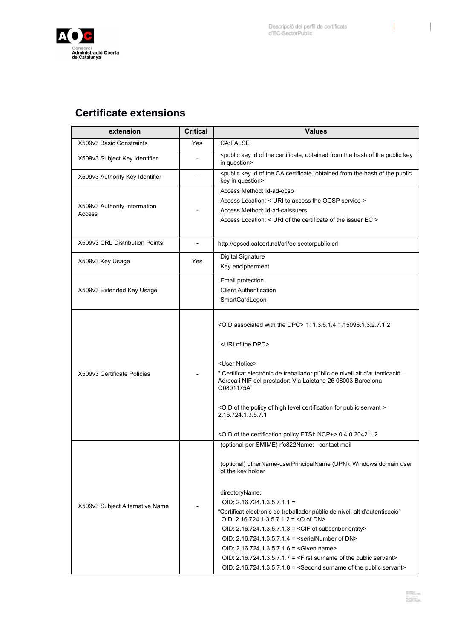

#### <span id="page-16-0"></span>**Certificate extensions**

| extension                       | <b>Critical</b> | <b>Values</b>                                                                                                                                                                                                                                                                                                                                                                                                                                                                                                                                                                                                                                                                                                             |
|---------------------------------|-----------------|---------------------------------------------------------------------------------------------------------------------------------------------------------------------------------------------------------------------------------------------------------------------------------------------------------------------------------------------------------------------------------------------------------------------------------------------------------------------------------------------------------------------------------------------------------------------------------------------------------------------------------------------------------------------------------------------------------------------------|
| X509v3 Basic Constraints        | Yes             | CA:FALSE                                                                                                                                                                                                                                                                                                                                                                                                                                                                                                                                                                                                                                                                                                                  |
| X509v3 Subject Key Identifier   |                 | <public certificate,="" from="" hash="" id="" key="" key<br="" obtained="" of="" public="" the="">in question&gt;</public>                                                                                                                                                                                                                                                                                                                                                                                                                                                                                                                                                                                                |
| X509v3 Authority Key Identifier |                 | <public ca="" certificate,="" from="" hash="" id="" key="" obtained="" of="" public<br="" the="">key in question&gt;</public>                                                                                                                                                                                                                                                                                                                                                                                                                                                                                                                                                                                             |
|                                 |                 | Access Method: Id-ad-ocsp                                                                                                                                                                                                                                                                                                                                                                                                                                                                                                                                                                                                                                                                                                 |
| X509v3 Authority Information    |                 | Access Location: < URI to access the OCSP service >                                                                                                                                                                                                                                                                                                                                                                                                                                                                                                                                                                                                                                                                       |
| Access                          |                 | Access Method: Id-ad-calssuers                                                                                                                                                                                                                                                                                                                                                                                                                                                                                                                                                                                                                                                                                            |
|                                 |                 | Access Location: < URI of the certificate of the issuer EC >                                                                                                                                                                                                                                                                                                                                                                                                                                                                                                                                                                                                                                                              |
| X509v3 CRL Distribution Points  |                 | http://epscd.catcert.net/crl/ec-sectorpublic.crl                                                                                                                                                                                                                                                                                                                                                                                                                                                                                                                                                                                                                                                                          |
| X509v3 Key Usage                | Yes             | <b>Digital Signature</b>                                                                                                                                                                                                                                                                                                                                                                                                                                                                                                                                                                                                                                                                                                  |
|                                 |                 | Key encipherment                                                                                                                                                                                                                                                                                                                                                                                                                                                                                                                                                                                                                                                                                                          |
|                                 |                 | Email protection                                                                                                                                                                                                                                                                                                                                                                                                                                                                                                                                                                                                                                                                                                          |
| X509v3 Extended Key Usage       |                 | <b>Client Authentication</b>                                                                                                                                                                                                                                                                                                                                                                                                                                                                                                                                                                                                                                                                                              |
|                                 |                 | SmartCardLogon                                                                                                                                                                                                                                                                                                                                                                                                                                                                                                                                                                                                                                                                                                            |
| X509v3 Certificate Policies     |                 | <oid associated="" dpc="" the="" with=""> 1: 1.3.6.1.4.1.15096.1.3.2.7.1.2<br/><uri dpc="" of="" the=""><br/><user notice=""><br/>" Certificat electrònic de treballador públic de nivell alt d'autenticació.<br/>Adreça i NIF del prestador: Via Laietana 26 08003 Barcelona<br/>Q0801175A"<br/><oid certification="" for="" high="" level="" of="" policy="" public="" servant="" the=""><br/>2.16.724.1.3.5.7.1<br/><oid certification="" etsi:="" ncp+="" of="" policy="" the=""> 0.4.0.2042.1.2</oid></oid></user></uri></oid>                                                                                                                                                                                       |
| X509v3 Subject Alternative Name |                 | (optional per SMIME) rfc822Name: contact mail<br>(optional) otherName-userPrincipalName (UPN): Windows domain user<br>of the key holder<br>directoryName:<br>OID: $2.16.724.1.3.5.7.1.1 =$<br>"Certificat electrònic de treballador públic de nivell alt d'autenticació"<br>OID: 2.16.724.1.3.5.7.1.2 = < O of DN><br>OID: 2.16.724.1.3.5.7.1.3 = <cif entity="" of="" subscriber=""><br/>OID: 2.16.724.1.3.5.7.1.4 = <serialnumber dn="" of=""><br/>OID: 2.16.724.1.3.5.7.1.6 = <given name=""><br/>OID: 2.16.724.1.3.5.7.1.7 = <first of="" public="" servant="" surname="" the=""><br/>OID: 2.16.724.1.3.5.7.1.8 = <second of="" public="" servant="" surname="" the=""></second></first></given></serialnumber></cif> |

J

itika.<br>Seba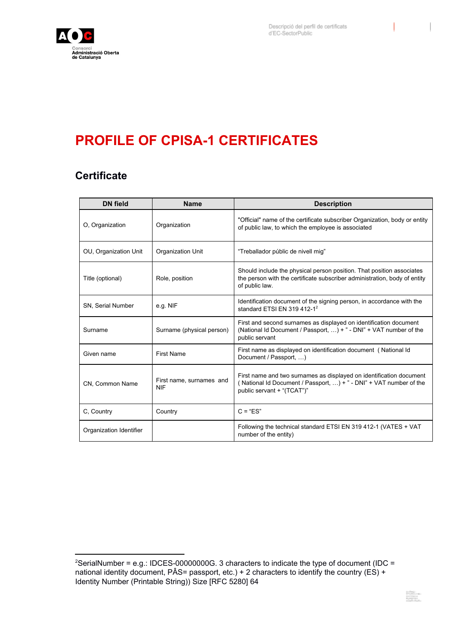

Descripció del perfil de certificats d'EC-SectorPublic

# <span id="page-17-0"></span>**PROFILE OF CPISA-1 CERTIFICATES**

#### <span id="page-17-1"></span>**Certificate**

| <b>DN</b> field         | <b>Name</b>                            | <b>Description</b>                                                                                                                                                      |
|-------------------------|----------------------------------------|-------------------------------------------------------------------------------------------------------------------------------------------------------------------------|
| O, Organization         | Organization                           | "Official" name of the certificate subscriber Organization, body or entity<br>of public law, to which the employee is associated                                        |
| OU, Organization Unit   | Organization Unit                      | "Treballador públic de nivell mig"                                                                                                                                      |
| Title (optional)        | Role, position                         | Should include the physical person position. That position associates<br>the person with the certificate subscriber administration, body of entity<br>of public law.    |
| SN, Serial Number       | e.g. NIF                               | Identification document of the signing person, in accordance with the<br>standard ETSI EN 319 412-1 <sup>2</sup>                                                        |
| Surname                 | Surname (physical person)              | First and second surnames as displayed on identification document<br>(National Id Document / Passport, ) + " - DNI" + VAT number of the<br>public servant               |
| Given name              | <b>First Name</b>                      | First name as displayed on identification document (National Id<br>Document / Passport)                                                                                 |
| CN, Common Name         | First name, surnames and<br><b>NIF</b> | First name and two surnames as displayed on identification document<br>(National Id Document / Passport, ) + " - DNI" + VAT number of the<br>public servant + "(TCAT")" |
| C, Country              | Country                                | $C = "ES"$                                                                                                                                                              |
| Organization Identifier |                                        | Following the technical standard ETSI EN 319 412-1 (VATES + VAT<br>number of the entity)                                                                                |

涂料

<span id="page-17-2"></span><sup>&</sup>lt;sup>2</sup>SerialNumber = e.g.: IDCES-0000000G. 3 characters to indicate the type of document (IDC = national identity document,  $P\hat{A}S=$  passport, etc.) + 2 characters to identify the country (ES) + Identity Number (Printable String)) Size [RFC 5280] 64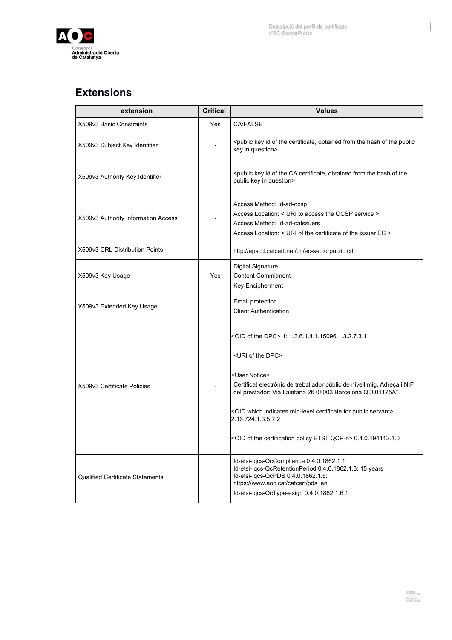

 $\mathbb{R}^n$ 

 $\overline{\phantom{a}}$ 

**Extensions**

| extension                               | <b>Critical</b> | <b>Values</b>                                                                                                                                                                                                                                                                                                                                                                                                                                                                              |
|-----------------------------------------|-----------------|--------------------------------------------------------------------------------------------------------------------------------------------------------------------------------------------------------------------------------------------------------------------------------------------------------------------------------------------------------------------------------------------------------------------------------------------------------------------------------------------|
| X509v3 Basic Constraints                | Yes             | CA:FALSE                                                                                                                                                                                                                                                                                                                                                                                                                                                                                   |
| X509v3 Subject Key Identifier           |                 | <public certificate,="" from="" hash="" id="" key="" obtained="" of="" public<br="" the="">key in question&gt;</public>                                                                                                                                                                                                                                                                                                                                                                    |
| X509v3 Authority Key Identifier         |                 | <public ca="" certificate,="" from="" hash="" id="" key="" obtained="" of="" the="" the<br="">public key in question&gt;</public>                                                                                                                                                                                                                                                                                                                                                          |
| X509v3 Authority Information Access     |                 | Access Method: Id-ad-ocsp<br>Access Location: < URI to access the OCSP service ><br>Access Method: Id-ad-calssuers<br>Access Location: < URI of the certificate of the issuer EC >                                                                                                                                                                                                                                                                                                         |
| X509v3 CRL Distribution Points          | $\overline{a}$  | http://epscd.catcert.net/crl/ec-sectorpublic.crl                                                                                                                                                                                                                                                                                                                                                                                                                                           |
| X509v3 Key Usage                        | Yes             | Digital Signature<br><b>Content Commitment</b><br>Key Encipherment                                                                                                                                                                                                                                                                                                                                                                                                                         |
| X509v3 Extended Key Usage               |                 | Email protection<br><b>Client Authentication</b>                                                                                                                                                                                                                                                                                                                                                                                                                                           |
| X509v3 Certificate Policies             |                 | <oid dpc="" of="" the=""> 1: 1.3.6.1.4.1.15096.1.3.2.7.3.1<br/><uri dpc="" of="" the=""><br/><user notice=""><br/>Certificat electrònic de treballador públic de nivell mig. Adreça i NIF<br/>del prestador: Via Laietana 26 08003 Barcelona Q0801175A"<br/><oid certificate="" for="" indicates="" mid-level="" public="" servant="" which=""><br/>2.16.724.1.3.5.7.2<br/><oid certification="" etsi:="" of="" policy="" qcp-n="" the=""> 0.4.0.194112.1.0</oid></oid></user></uri></oid> |
| <b>Qualified Certificate Statements</b> |                 | Id-etsi- qcs-QcCompliance 0.4.0.1862.1.1<br>Id-etsi- qcs-QcRetentionPeriod 0.4.0.1862.1.3: 15 years<br>Id-etsi- qcs-QcPDS 0.4.0.1862.1.5:<br>https://www.aoc.cat/catcert/pds_en<br>Id-etsi- qcs-QcType-esign 0.4.0.1862.1.6.1                                                                                                                                                                                                                                                              |

 $\frac{1}{\sqrt{2}}\sum_{i=1}^{n}$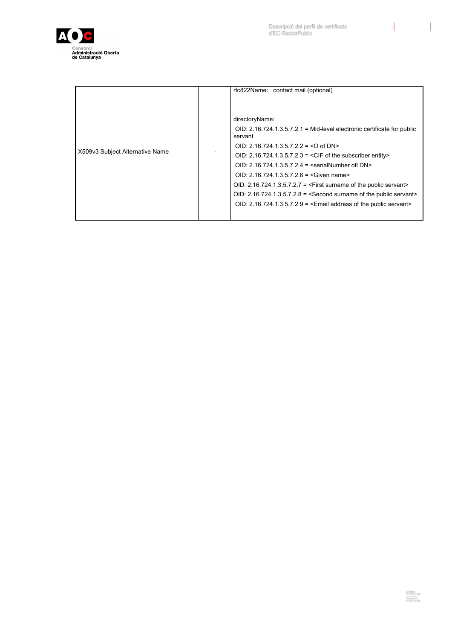

 $\begin{array}{c} \rule{0pt}{2ex} \rule{0pt}{2ex} \rule{0pt}{2ex} \rule{0pt}{2ex} \rule{0pt}{2ex} \rule{0pt}{2ex} \rule{0pt}{2ex} \rule{0pt}{2ex} \rule{0pt}{2ex} \rule{0pt}{2ex} \rule{0pt}{2ex} \rule{0pt}{2ex} \rule{0pt}{2ex} \rule{0pt}{2ex} \rule{0pt}{2ex} \rule{0pt}{2ex} \rule{0pt}{2ex} \rule{0pt}{2ex} \rule{0pt}{2ex} \rule{0pt}{2ex} \rule{0pt}{2ex} \rule{0pt}{2ex} \rule{0pt}{2ex} \rule{0pt}{$ 

 $\bigg]$ 

 $\frac{1}{\sqrt{2}}$ 

|                                 | rfc822Name: contact mail (optional)                                                        |
|---------------------------------|--------------------------------------------------------------------------------------------|
|                                 |                                                                                            |
|                                 | directoryName:                                                                             |
|                                 | OID: 2.16.724.1.3.5.7.2.1 = Mid-level electronic certificate for public<br>servant         |
|                                 | OID: 2.16.724.1.3.5.7.2.2 = < O of DN>                                                     |
| X509v3 Subject Alternative Name | OID: 2.16.724.1.3.5.7.2.3 = <cif entity="" of="" subscriber="" the=""></cif>               |
|                                 | OID: 2.16.724.1.3.5.7.2.4 = <serialnumber dn="" of=""></serialnumber>                      |
|                                 | OID: 2.16.724.1.3.5.7.2.6 = <given name=""></given>                                        |
|                                 | OID: 2.16.724.1.3.5.7.2.7 = <first of="" public="" servant="" surname="" the=""></first>   |
|                                 | OID: 2.16.724.1.3.5.7.2.8 = <second of="" public="" servant="" surname="" the=""></second> |
|                                 | OID: 2.16.724.1.3.5.7.2.9 = $\leq$ Email address of the public servant>                    |
|                                 |                                                                                            |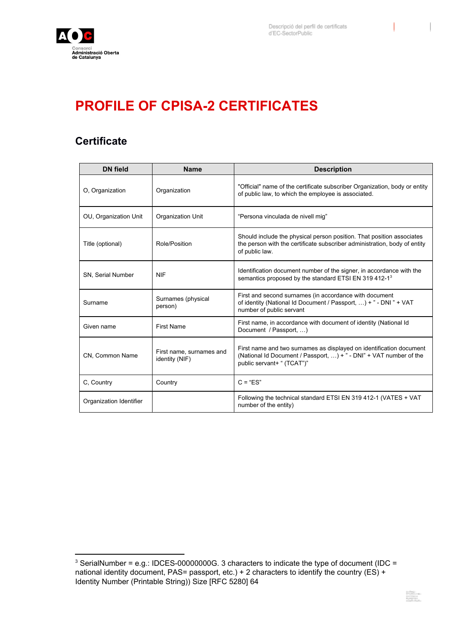

갔다

# <span id="page-20-1"></span><span id="page-20-0"></span>**PROFILE OF CPISA-2 CERTIFICATES**

| <b>DN</b> field         | <b>Name</b>                                | <b>Description</b>                                                                                                                                                      |
|-------------------------|--------------------------------------------|-------------------------------------------------------------------------------------------------------------------------------------------------------------------------|
| O, Organization         | Organization                               | "Official" name of the certificate subscriber Organization, body or entity<br>of public law, to which the employee is associated.                                       |
| OU, Organization Unit   | Organization Unit                          | "Persona vinculada de nivell mig"                                                                                                                                       |
| Title (optional)        | Role/Position                              | Should include the physical person position. That position associates<br>the person with the certificate subscriber administration, body of entity<br>of public law.    |
| SN, Serial Number       | <b>NIF</b>                                 | Identification document number of the signer, in accordance with the<br>semantics proposed by the standard ETSI EN 319 412-1 <sup>3</sup>                               |
| Surname                 | Surnames (physical<br>person)              | First and second surnames (in accordance with document<br>of identity (National Id Document / Passport, ) + " - DNI " + VAT<br>number of public servant                 |
| Given name              | <b>First Name</b>                          | First name, in accordance with document of identity (National Id<br>Document / Passport, )                                                                              |
| CN, Common Name         | First name, surnames and<br>identity (NIF) | First name and two surnames as displayed on identification document<br>(National Id Document / Passport, ) + " - DNI" + VAT number of the<br>public servant+ " (TCAT")" |
| C, Country              | Country                                    | $C = "ES"$                                                                                                                                                              |
| Organization Identifier |                                            | Following the technical standard ETSI EN 319 412-1 (VATES + VAT<br>number of the entity)                                                                                |

<span id="page-20-2"></span> $3$  SerialNumber = e.g.: IDCES-0000000G. 3 characters to indicate the type of document (IDC = national identity document, PAS= passport, etc.) + 2 characters to identify the country (ES) + Identity Number (Printable String)) Size [RFC 5280] 64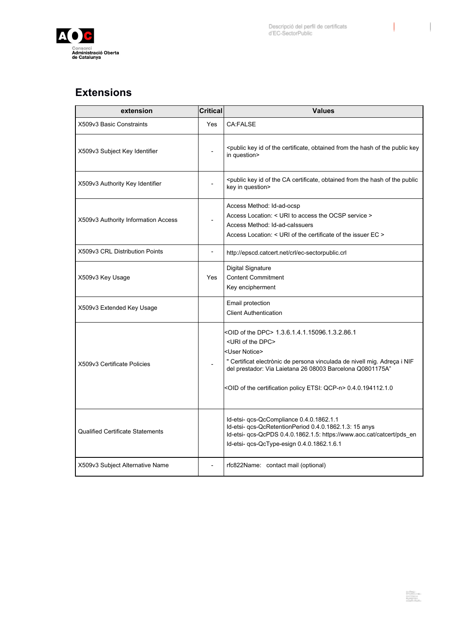

 $\mathbf{I}$ 

 $\overline{\phantom{a}}$ 

### **Extensions**

| extension                               | <b>Critical</b> | <b>Values</b>                                                                                                                                                                                                                                                                                                                                                      |
|-----------------------------------------|-----------------|--------------------------------------------------------------------------------------------------------------------------------------------------------------------------------------------------------------------------------------------------------------------------------------------------------------------------------------------------------------------|
| X509v3 Basic Constraints                | Yes             | CA:FALSE                                                                                                                                                                                                                                                                                                                                                           |
| X509v3 Subject Key Identifier           |                 | <public certificate,="" from="" hash="" id="" key="" key<br="" obtained="" of="" public="" the="">in question&gt;</public>                                                                                                                                                                                                                                         |
| X509v3 Authority Key Identifier         |                 | <public ca="" certificate,="" from="" hash="" id="" key="" obtained="" of="" public<br="" the="">key in question&gt;</public>                                                                                                                                                                                                                                      |
| X509v3 Authority Information Access     |                 | Access Method: Id-ad-ocsp<br>Access Location: < URI to access the OCSP service ><br>Access Method: Id-ad-calssuers<br>Access Location: < URI of the certificate of the issuer EC >                                                                                                                                                                                 |
| X509v3 CRL Distribution Points          |                 | http://epscd.catcert.net/crl/ec-sectorpublic.crl                                                                                                                                                                                                                                                                                                                   |
| X509v3 Key Usage                        | Yes             | Digital Signature<br><b>Content Commitment</b><br>Key encipherment                                                                                                                                                                                                                                                                                                 |
| X509v3 Extended Key Usage               |                 | Email protection<br><b>Client Authentication</b>                                                                                                                                                                                                                                                                                                                   |
| X509v3 Certificate Policies             |                 | <oid dpc="" of="" the=""> 1.3.6.1.4.1.15096.1.3.2.86.1<br/><uri dpc="" of="" the=""><br/><user notice=""><br/>" Certificat electrònic de persona vinculada de nivell mig. Adreça i NIF<br/>del prestador: Via Laietana 26 08003 Barcelona Q0801175A"<br/><oid certification="" etsi:="" of="" policy="" qcp-n="" the=""> 0.4.0.194112.1.0</oid></user></uri></oid> |
| <b>Qualified Certificate Statements</b> |                 | Id-etsi- qcs-QcCompliance 0.4.0.1862.1.1<br>Id-etsi- qcs-QcRetentionPeriod 0.4.0.1862.1.3: 15 anys<br>Id-etsi- qcs-QcPDS 0.4.0.1862.1.5: https://www.aoc.cat/catcert/pds_en<br>Id-etsi- qcs-QcType-esign 0.4.0.1862.1.6.1                                                                                                                                          |
| X509v3 Subject Alternative Name         |                 | rfc822Name: contact mail (optional)                                                                                                                                                                                                                                                                                                                                |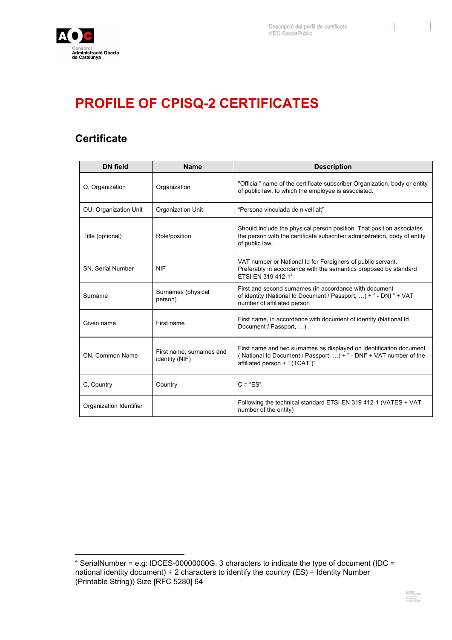

갔다

# <span id="page-22-1"></span><span id="page-22-0"></span>**PROFILE OF CPISQ-2 CERTIFICATES**

| <b>DN</b> field         | <b>Name</b>                                | <b>Description</b>                                                                                                                                                                  |
|-------------------------|--------------------------------------------|-------------------------------------------------------------------------------------------------------------------------------------------------------------------------------------|
| O, Organization         | Organization                               | "Official" name of the certificate subscriber Organization, body or entity<br>of public law, to which the employee is associated.                                                   |
| OU, Organization Unit   | Organization Unit                          | "Persona vinculada de nivell alt"                                                                                                                                                   |
| Title (optional)        | Role/position                              | Should include the physical person position. That position associates<br>the person with the certificate subscriber administration, body of entity<br>of public law.                |
| SN, Serial Number       | <b>NIF</b>                                 | VAT number or National Id for Foreigners of public servant.<br>Preferably in accordance with the semantics proposed by standard<br>ETSI EN 319 412-1 <sup>4</sup>                   |
| Surname                 | Surnames (physical<br>person)              | First and second surnames (in accordance with document<br>of identity (National Id Document / Passport, ) + " - DNI " + VAT<br>number of affiliated person                          |
| Given name              | First name                                 | First name, in accordance with document of identity (National Id<br>Document / Passport, )                                                                                          |
| CN, Common Name         | First name, surnames and<br>identity (NIF) | First name and two surnames as displayed on identification document<br>(National Id Document / Passport, $\dots$ ) + " - DNI" + VAT number of the<br>affiliated person + " (TCAT")" |
| C, Country              | Country                                    | $C = "ES"$                                                                                                                                                                          |
| Organization Identifier |                                            | Following the technical standard ETSI EN 319 412-1 (VATES + VAT<br>number of the entity)                                                                                            |

<span id="page-22-2"></span><sup>4</sup> SerialNumber = e.g: IDCES-00000000G. 3 characters to indicate the type of document (IDC = national identity document) + 2 characters to identify the country (ES) + Identity Number (Printable String)) Size [RFC 5280] 64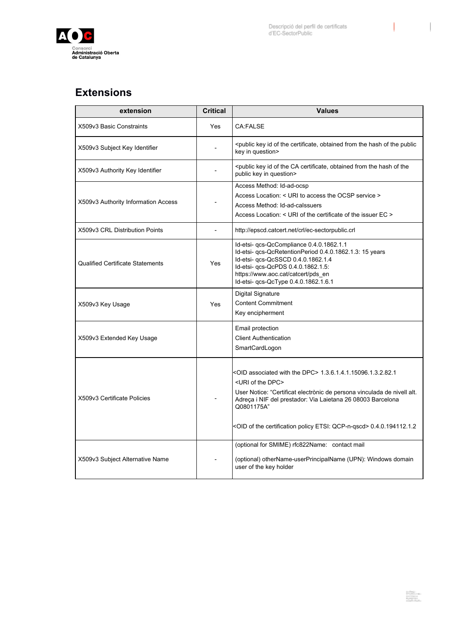

**Extensions**

| extension                               | <b>Critical</b> | <b>Values</b>                                                                                                                                                                                                                                                                                                                                                               |
|-----------------------------------------|-----------------|-----------------------------------------------------------------------------------------------------------------------------------------------------------------------------------------------------------------------------------------------------------------------------------------------------------------------------------------------------------------------------|
| X509v3 Basic Constraints                | Yes             | <b>CA:FALSE</b>                                                                                                                                                                                                                                                                                                                                                             |
| X509v3 Subject Key Identifier           |                 | <public certificate,="" from="" hash="" id="" key="" obtained="" of="" public<br="" the="">key in question&gt;</public>                                                                                                                                                                                                                                                     |
| X509v3 Authority Key Identifier         |                 | <public ca="" certificate,="" from="" hash="" id="" key="" obtained="" of="" the="" the<br="">public key in question&gt;</public>                                                                                                                                                                                                                                           |
| X509v3 Authority Information Access     |                 | Access Method: Id-ad-ocsp<br>Access Location: < URI to access the OCSP service ><br>Access Method: Id-ad-calssuers<br>Access Location: < URI of the certificate of the issuer EC >                                                                                                                                                                                          |
| X509y3 CRL Distribution Points          |                 | http://epscd.catcert.net/crl/ec-sectorpublic.crl                                                                                                                                                                                                                                                                                                                            |
| <b>Qualified Certificate Statements</b> | Yes             | Id-etsi- qcs-QcCompliance 0.4.0.1862.1.1<br>Id-etsi- qcs-QcRetentionPeriod 0.4.0.1862.1.3: 15 years<br>Id-etsi- gcs-QcSSCD 0.4.0.1862.1.4<br>Id-etsi- qcs-QcPDS 0.4.0.1862.1.5:<br>https://www.aoc.cat/catcert/pds en<br>Id-etsi- qcs-QcType 0.4.0.1862.1.6.1                                                                                                               |
| X509v3 Key Usage                        | Yes             | Digital Signature<br><b>Content Commitment</b><br>Key encipherment                                                                                                                                                                                                                                                                                                          |
| X509v3 Extended Key Usage               |                 | Email protection<br><b>Client Authentication</b><br>SmartCardLogon                                                                                                                                                                                                                                                                                                          |
| X509v3 Certificate Policies             |                 | <oid associated="" dpc="" the="" with=""> 1.3.6.1.4.1.15096.1.3.2.82.1<br/><uri dpc="" of="" the=""><br/>User Notice: "Certificat electrònic de persona vinculada de nivell alt.<br/>Adreça i NIF del prestador: Via Laietana 26 08003 Barcelona<br/>Q0801175A"<br/><oid certification="" etsi:="" of="" policy="" qcp-n-qscd="" the=""> 0.4.0.194112.1.2</oid></uri></oid> |
| X509v3 Subject Alternative Name         |                 | (optional for SMIME) rfc822Name: contact mail<br>(optional) otherName-userPrincipalName (UPN): Windows domain<br>user of the key holder                                                                                                                                                                                                                                     |

 $\mathbf{I}$ 

 $\overline{\phantom{a}}$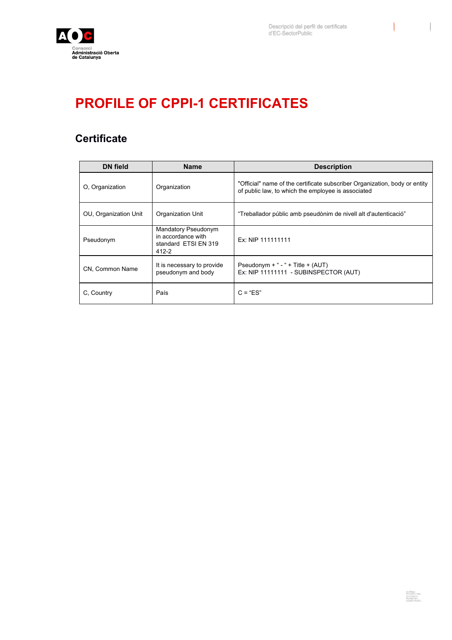

 $\blacksquare$ 

 $\frac{1}{\sqrt{2}}\sum_{i=1}^{n}$ 

# <span id="page-24-1"></span><span id="page-24-0"></span>**PROFILE OF CPPI-1 CERTIFICATES**

<span id="page-24-2"></span>

| <b>DN</b> field       | <b>Name</b>                                                                | <b>Description</b>                                                                                                               |
|-----------------------|----------------------------------------------------------------------------|----------------------------------------------------------------------------------------------------------------------------------|
| O. Organization       | Organization                                                               | "Official" name of the certificate subscriber Organization, body or entity<br>of public law, to which the employee is associated |
| OU, Organization Unit | Organization Unit                                                          | "Treballador públic amb pseudònim de nivell alt d'autenticació"                                                                  |
| Pseudonym             | Mandatory Pseudonym<br>in accordance with<br>standard ETSI EN 319<br>412-2 | Ex: NIP 111111111                                                                                                                |
| CN, Common Name       | It is necessary to provide<br>pseudonym and body                           | Pseudonym + " - " + Title + $(AUT)$<br>Ex: NIP 11111111 - SUBINSPECTOR (AUT)                                                     |
| C. Country            | País                                                                       | $C = "FS"$                                                                                                                       |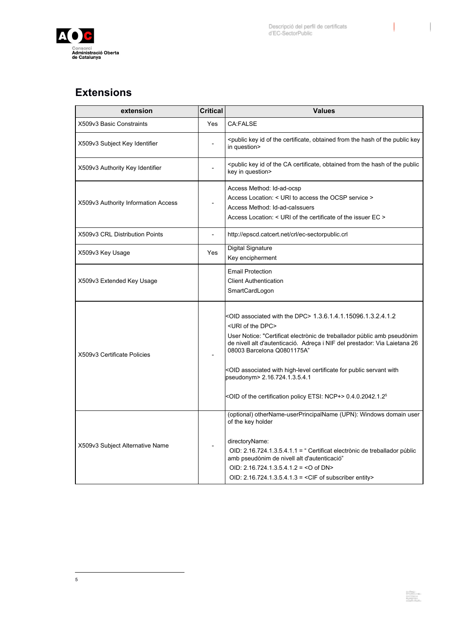

 $\bigl($ 

 $\bigg)$ 

### **Extensions**

| extension                           | <b>Critical</b>          | <b>Values</b>                                                                                                                                                                                                                                                                                                                                                                                                                                                                                                                                            |
|-------------------------------------|--------------------------|----------------------------------------------------------------------------------------------------------------------------------------------------------------------------------------------------------------------------------------------------------------------------------------------------------------------------------------------------------------------------------------------------------------------------------------------------------------------------------------------------------------------------------------------------------|
| X509v3 Basic Constraints            | Yes                      | <b>CA:FALSE</b>                                                                                                                                                                                                                                                                                                                                                                                                                                                                                                                                          |
| X509v3 Subject Key Identifier       | $\overline{\phantom{0}}$ | <public certificate,="" from="" hash="" id="" key="" key<br="" obtained="" of="" public="" the="">in question&gt;</public>                                                                                                                                                                                                                                                                                                                                                                                                                               |
| X509v3 Authority Key Identifier     |                          | <public ca="" certificate,="" from="" hash="" id="" key="" obtained="" of="" public<br="" the="">key in question&gt;</public>                                                                                                                                                                                                                                                                                                                                                                                                                            |
| X509v3 Authority Information Access |                          | Access Method: Id-ad-ocsp<br>Access Location: < URI to access the OCSP service ><br>Access Method: Id-ad-calssuers<br>Access Location: < URI of the certificate of the issuer EC >                                                                                                                                                                                                                                                                                                                                                                       |
| X509v3 CRL Distribution Points      |                          | http://epscd.catcert.net/crl/ec-sectorpublic.crl                                                                                                                                                                                                                                                                                                                                                                                                                                                                                                         |
| X509v3 Key Usage                    | Yes                      | <b>Digital Signature</b><br>Key encipherment                                                                                                                                                                                                                                                                                                                                                                                                                                                                                                             |
| X509v3 Extended Key Usage           |                          | <b>Email Protection</b><br><b>Client Authentication</b><br>SmartCardLogon                                                                                                                                                                                                                                                                                                                                                                                                                                                                                |
| X509v3 Certificate Policies         |                          | <oid associated="" dpc="" the="" with=""> 1.3.6.1.4.1.15096.1.3.2.4.1.2<br/><uri dpc="" of="" the=""><br/>User Notice: "Certificat electrònic de treballador públic amb pseudònim<br/>de nivell alt d'autenticació. Adreça i NIF del prestador: Via Laietana 26<br/>08003 Barcelona Q0801175A"<br/><oid associated="" certificate="" for="" high-level="" public="" servant="" with="" with<br="">pseudonym&gt; 2.16.724.1.3.5.4.1<br/><oid certification="" etsi:="" ncp+="" of="" policy="" the=""> 0.4.0.2042.1.2<sup>5</sup></oid></oid></uri></oid> |
| X509v3 Subject Alternative Name     |                          | (optional) otherName-userPrincipalName (UPN): Windows domain user<br>of the key holder<br>directoryName:<br>OID: 2.16.724.1.3.5.4.1.1 = " Certificat electrònic de treballador públic<br>amb pseudònim de nivell alt d'autenticació"<br>OID: 2.16.724.1.3.5.4.1.2 = < O of DN><br>OID: 2.16.724.1.3.5.4.1.3 = <cif entity="" of="" subscriber=""></cif>                                                                                                                                                                                                  |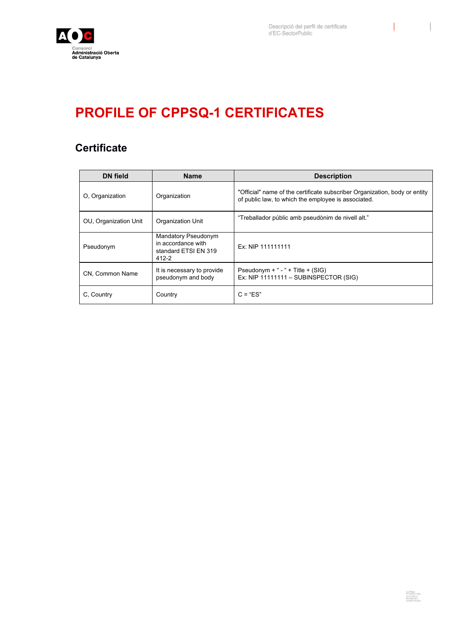

an<br>Si

I

# <span id="page-26-1"></span><span id="page-26-0"></span>**PROFILE OF CPPSQ-1 CERTIFICATES**

<span id="page-26-2"></span>

| <b>DN</b> field       | <b>Name</b>                                                                | <b>Description</b>                                                                                                                |
|-----------------------|----------------------------------------------------------------------------|-----------------------------------------------------------------------------------------------------------------------------------|
| O. Organization       | Organization                                                               | "Official" name of the certificate subscriber Organization, body or entity<br>of public law, to which the employee is associated. |
| OU, Organization Unit | Organization Unit                                                          | "Treballador públic amb pseudònim de nivell alt."                                                                                 |
| Pseudonym             | Mandatory Pseudonym<br>in accordance with<br>standard ETSI EN 319<br>412-2 | Ex: NIP 111111111                                                                                                                 |
| CN, Common Name       | It is necessary to provide<br>pseudonym and body                           | Pseudonym + " - " + Title + $(SIG)$<br>Ex: NIP 11111111 - SUBINSPECTOR (SIG)                                                      |
| C. Country            | Country                                                                    | $C = "ES"$                                                                                                                        |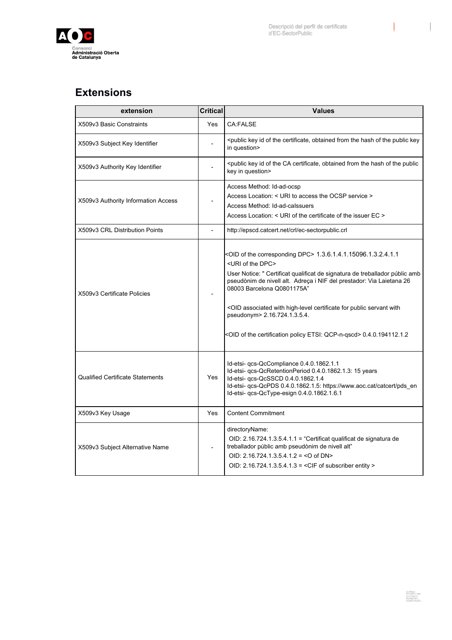

 $\mathbf{I}$ 

 $\overline{\phantom{a}}$ 

#### **Extensions**

| extension                               | <b>Critical</b> | <b>Values</b>                                                                                                                                                                                                                                                                                                                                                                                                                                                                                                                                       |
|-----------------------------------------|-----------------|-----------------------------------------------------------------------------------------------------------------------------------------------------------------------------------------------------------------------------------------------------------------------------------------------------------------------------------------------------------------------------------------------------------------------------------------------------------------------------------------------------------------------------------------------------|
| X509v3 Basic Constraints                | Yes             | <b>CA:FALSE</b>                                                                                                                                                                                                                                                                                                                                                                                                                                                                                                                                     |
| X509v3 Subject Key Identifier           |                 | <public certificate,="" from="" hash="" id="" key="" key<br="" obtained="" of="" public="" the="">in question&gt;</public>                                                                                                                                                                                                                                                                                                                                                                                                                          |
| X509v3 Authority Key Identifier         |                 | <public ca="" certificate,="" from="" hash="" id="" key="" obtained="" of="" public<br="" the="">key in question&gt;</public>                                                                                                                                                                                                                                                                                                                                                                                                                       |
| X509v3 Authority Information Access     |                 | Access Method: Id-ad-ocsp<br>Access Location: < URI to access the OCSP service ><br>Access Method: Id-ad-calssuers<br>Access Location: < URI of the certificate of the issuer EC >                                                                                                                                                                                                                                                                                                                                                                  |
| X509y3 CRL Distribution Points          |                 | http://epscd.catcert.net/crl/ec-sectorpublic.crl                                                                                                                                                                                                                                                                                                                                                                                                                                                                                                    |
| X509v3 Certificate Policies             |                 | <oid corresponding="" dpc="" of="" the=""> 1.3.6.1.4.1.15096.1.3.2.4.1.1<br/><uri dpc="" of="" the=""><br/>User Notice: " Certificat qualificat de signatura de treballador públic amb<br/>pseudònim de nivell alt. Adreça i NIF del prestador: Via Laietana 26<br/>08003 Barcelona Q0801175A"<br/><oid associated="" certificate="" for="" high-level="" public="" servant="" with="" with<br="">pseudonym&gt; 2.16.724.1.3.5.4.<br/><oid certification="" etsi:="" of="" policy="" qcp-n-qscd="" the=""> 0.4.0.194112.1.2</oid></oid></uri></oid> |
| <b>Qualified Certificate Statements</b> | Yes             | Id-etsi- qcs-QcCompliance 0.4.0.1862.1.1<br>Id-etsi- qcs-QcRetentionPeriod 0.4.0.1862.1.3: 15 years<br>Id-etsi- qcs-QcSSCD 0.4.0.1862.1.4<br>Id-etsi- qcs-QcPDS 0.4.0.1862.1.5: https://www.aoc.cat/catcert/pds_en<br>Id-etsi- qcs-QcType-esign 0.4.0.1862.1.6.1                                                                                                                                                                                                                                                                                    |
| X509v3 Key Usage                        | Yes             | <b>Content Commitment</b>                                                                                                                                                                                                                                                                                                                                                                                                                                                                                                                           |
| X509v3 Subject Alternative Name         | $\overline{a}$  | directoryName:<br>OID: 2.16.724.1.3.5.4.1.1 = "Certificat qualificat de signatura de<br>treballador públic amb pseudònim de nivell alt"<br>OID: 2.16.724.1.3.5.4.1.2 = < O of DN><br>OID: 2.16.724.1.3.5.4.1.3 = < CIF of subscriber entity >                                                                                                                                                                                                                                                                                                       |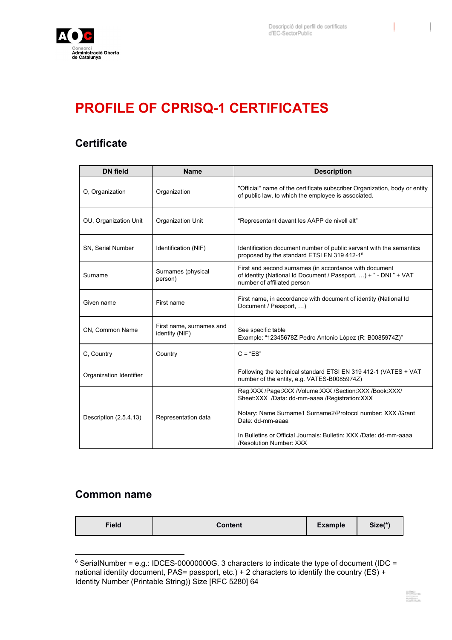

95 F

## <span id="page-28-0"></span>**PROFILE OF CPRISQ-1 CERTIFICATES**

#### <span id="page-28-1"></span>**Certificate**

| <b>DN</b> field         | <b>Name</b>                                | <b>Description</b>                                                                                                                                         |
|-------------------------|--------------------------------------------|------------------------------------------------------------------------------------------------------------------------------------------------------------|
| O, Organization         | Organization                               | "Official" name of the certificate subscriber Organization, body or entity<br>of public law, to which the employee is associated.                          |
| OU, Organization Unit   | Organization Unit                          | "Representant davant les AAPP de nivell alt"                                                                                                               |
| SN, Serial Number       | Identification (NIF)                       | Identification document number of public servant with the semantics<br>proposed by the standard ETSI EN 319 412-16                                         |
| Surname                 | Surnames (physical<br>person)              | First and second surnames (in accordance with document<br>of identity (National Id Document / Passport, ) + " - DNI " + VAT<br>number of affiliated person |
| Given name              | First name                                 | First name, in accordance with document of identity (National Id<br>Document / Passport, )                                                                 |
| CN, Common Name         | First name, surnames and<br>identity (NIF) | See specific table<br>Example: "12345678Z Pedro Antonio López (R: B0085974Z)"                                                                              |
| C, Country              | Country                                    | $C = "ES"$                                                                                                                                                 |
| Organization Identifier |                                            | Following the technical standard ETSI EN 319 412-1 (VATES + VAT<br>number of the entity, e.g. VATES-B0085974Z)                                             |
|                         |                                            | Reg:XXX /Page:XXX /Volume:XXX /Section:XXX /Book:XXX/<br>Sheet:XXX /Data: dd-mm-aaaa /Registration:XXX                                                     |
| Description (2.5.4.13)  | Representation data                        | Notary: Name Surname1 Surname2/Protocol number: XXX /Grant<br>Date: dd-mm-aaaa                                                                             |
|                         |                                            | In Bulletins or Official Journals: Bulletin: XXX /Date: dd-mm-aaaa<br>/Resolution Number: XXX                                                              |

#### <span id="page-28-2"></span>**Common name**

| Size(*)<br>Field<br><b>Example</b><br>Content |
|-----------------------------------------------|
|-----------------------------------------------|

 $6$  SerialNumber = e.g.: IDCES-0000000G. 3 characters to indicate the type of document (IDC = national identity document, PAS= passport, etc.) + 2 characters to identify the country (ES) + Identity Number (Printable String)) Size [RFC 5280] 64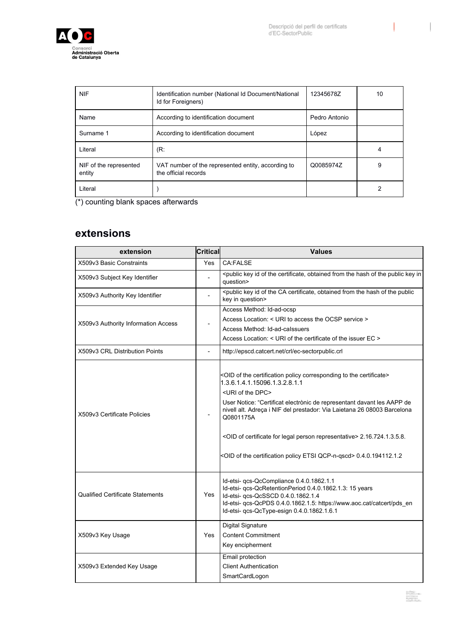

| <b>NIF</b>                       | Identification number (National Id Document/National<br>Id for Foreigners) | 12345678Z     | 10 |
|----------------------------------|----------------------------------------------------------------------------|---------------|----|
| Name                             | According to identification document                                       | Pedro Antonio |    |
| Surname 1                        | According to identification document                                       | López         |    |
| Literal                          | (R)                                                                        |               | 4  |
| NIF of the represented<br>entity | VAT number of the represented entity, according to<br>the official records | Q0085974Z     | 9  |
| Literal                          |                                                                            |               | 2  |

<span id="page-29-0"></span>(\*) counting blank spaces afterwards

#### **extensions**

| extension                               | Critical       | <b>Values</b>                                                                                                                                                                                                                                                                                                                                                                                                                                                                                                                          |
|-----------------------------------------|----------------|----------------------------------------------------------------------------------------------------------------------------------------------------------------------------------------------------------------------------------------------------------------------------------------------------------------------------------------------------------------------------------------------------------------------------------------------------------------------------------------------------------------------------------------|
| X509v3 Basic Constraints                | Yes            | <b>CA:FALSE</b>                                                                                                                                                                                                                                                                                                                                                                                                                                                                                                                        |
| X509v3 Subject Key Identifier           | $\overline{a}$ | <public certificate,="" from="" hash="" id="" in<br="" key="" obtained="" of="" public="" the="">question&gt;</public>                                                                                                                                                                                                                                                                                                                                                                                                                 |
| X509v3 Authority Key Identifier         |                | <public ca="" certificate,="" from="" hash="" id="" key="" obtained="" of="" public<br="" the="">key in question&gt;</public>                                                                                                                                                                                                                                                                                                                                                                                                          |
| X509v3 Authority Information Access     |                | Access Method: Id-ad-ocsp<br>Access Location: < URI to access the OCSP service ><br>Access Method: Id-ad-calssuers<br>Access Location: < URI of the certificate of the issuer EC >                                                                                                                                                                                                                                                                                                                                                     |
| X509v3 CRL Distribution Points          | $\overline{a}$ | http://epscd.catcert.net/crl/ec-sectorpublic.crl                                                                                                                                                                                                                                                                                                                                                                                                                                                                                       |
| X509v3 Certificate Policies             |                | <oid certificate="" certification="" corresponding="" of="" policy="" the="" to=""><br/>1.3.6.1.4.1.15096.1.3.2.8.1.1<br/><uri dpc="" of="" the=""><br/>User Notice: "Certificat electrònic de representant davant les AAPP de<br/>nivell alt. Adreça i NIF del prestador: Via Laietana 26 08003 Barcelona<br/>Q0801175A<br/><oid certificate="" for="" legal="" of="" person="" representative=""> 2.16.724.1.3.5.8.<br/><oid certification="" etsi="" of="" policy="" qcp-n-qscd="" the=""> 0.4.0.194112.1.2</oid></oid></uri></oid> |
| <b>Qualified Certificate Statements</b> | Yes            | Id-etsi- qcs-QcCompliance 0.4.0.1862.1.1<br>Id-etsi- qcs-QcRetentionPeriod 0.4.0.1862.1.3: 15 years<br>Id-etsi- qcs-QcSSCD 0.4.0.1862.1.4<br>Id-etsi- qcs-QcPDS 0.4.0.1862.1.5: https://www.aoc.cat/catcert/pds_en<br>Id-etsi- qcs-QcType-esign 0.4.0.1862.1.6.1                                                                                                                                                                                                                                                                       |
| X509v3 Key Usage                        | <b>Yes</b>     | <b>Digital Signature</b><br><b>Content Commitment</b><br>Key encipherment                                                                                                                                                                                                                                                                                                                                                                                                                                                              |
| X509v3 Extended Key Usage               |                | Email protection<br><b>Client Authentication</b><br>SmartCardLogon                                                                                                                                                                                                                                                                                                                                                                                                                                                                     |

1

IX.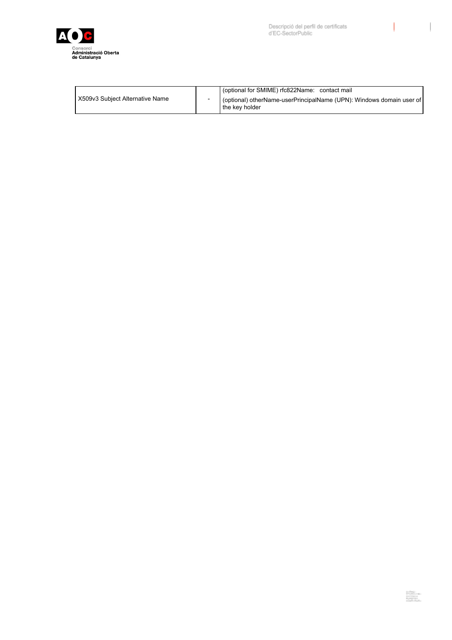

 $\begin{array}{c} \hline \end{array}$ 

| X509v3 Subiect Alternative Name | (optional for SMIME) rfc822Name: contact mail<br>(optional) otherName-userPrincipalName (UPN): Windows domain user of |
|---------------------------------|-----------------------------------------------------------------------------------------------------------------------|
|---------------------------------|-----------------------------------------------------------------------------------------------------------------------|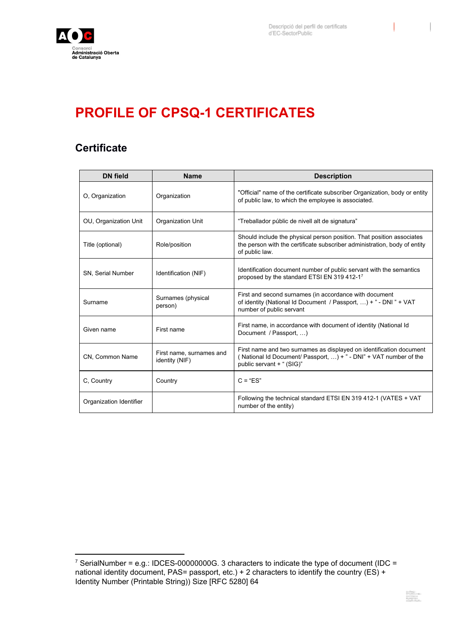

SH.

# <span id="page-31-1"></span><span id="page-31-0"></span>**PROFILE OF CPSQ-1 CERTIFICATES**

| <b>DN</b> field          | <b>Name</b>                                | <b>Description</b>                                                                                                                                                    |
|--------------------------|--------------------------------------------|-----------------------------------------------------------------------------------------------------------------------------------------------------------------------|
| O, Organization          | Organization                               | "Official" name of the certificate subscriber Organization, body or entity<br>of public law, to which the employee is associated.                                     |
| OU, Organization Unit    | Organization Unit                          | "Treballador públic de nivell alt de signatura"                                                                                                                       |
| Title (optional)         | Role/position                              | Should include the physical person position. That position associates<br>the person with the certificate subscriber administration, body of entity<br>of public law.  |
| <b>SN. Serial Number</b> | Identification (NIF)                       | Identification document number of public servant with the semantics<br>proposed by the standard ETSI EN 319 412-17                                                    |
| Surname                  | Surnames (physical<br>person)              | First and second surnames (in accordance with document<br>of identity (National Id Document / Passport, ) + " - DNI " + VAT<br>number of public servant               |
| Given name               | First name                                 | First name, in accordance with document of identity (National Id<br>Document / Passport, )                                                                            |
| CN, Common Name          | First name, surnames and<br>identity (NIF) | First name and two surnames as displayed on identification document<br>(National Id Document/ Passport, ) + " - DNI" + VAT number of the<br>public servant + " (SIG)" |
| C. Country               | Country                                    | $C = "ES"$                                                                                                                                                            |
| Organization Identifier  |                                            | Following the technical standard ETSI EN 319 412-1 (VATES + VAT<br>number of the entity)                                                                              |

<span id="page-31-2"></span> $^7$  SerialNumber = e.g.: IDCES-0000000G. 3 characters to indicate the type of document (IDC = national identity document, PAS= passport, etc.) + 2 characters to identify the country (ES) + Identity Number (Printable String)) Size [RFC 5280] 64